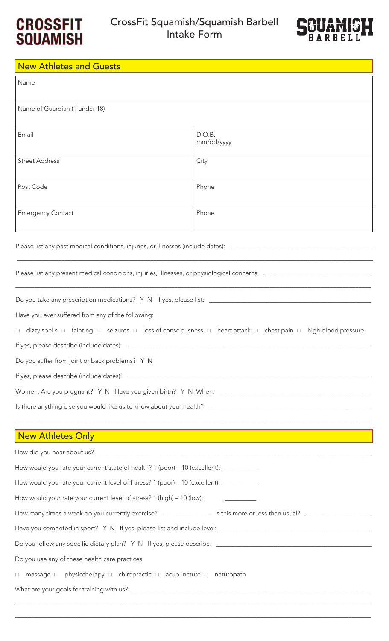



## New Athletes and Guests

| Name                                                                                                                                                                                                     |                                                                                                                                                   |  |
|----------------------------------------------------------------------------------------------------------------------------------------------------------------------------------------------------------|---------------------------------------------------------------------------------------------------------------------------------------------------|--|
| Name of Guardian (if under 18)                                                                                                                                                                           |                                                                                                                                                   |  |
| Email                                                                                                                                                                                                    | D.O.B.<br>mm/dd/yyyy                                                                                                                              |  |
| <b>Street Address</b>                                                                                                                                                                                    | City                                                                                                                                              |  |
| Post Code                                                                                                                                                                                                | Phone                                                                                                                                             |  |
| <b>Emergency Contact</b>                                                                                                                                                                                 | Phone                                                                                                                                             |  |
|                                                                                                                                                                                                          |                                                                                                                                                   |  |
|                                                                                                                                                                                                          |                                                                                                                                                   |  |
|                                                                                                                                                                                                          |                                                                                                                                                   |  |
| Have you ever suffered from any of the following:                                                                                                                                                        |                                                                                                                                                   |  |
|                                                                                                                                                                                                          | $\Box$ dizzy spells $\Box$ fainting $\Box$ seizures $\Box$ loss of consciousness $\Box$ heart attack $\Box$ chest pain $\Box$ high blood pressure |  |
|                                                                                                                                                                                                          |                                                                                                                                                   |  |
| Do you suffer from joint or back problems? Y N                                                                                                                                                           |                                                                                                                                                   |  |
|                                                                                                                                                                                                          |                                                                                                                                                   |  |
|                                                                                                                                                                                                          |                                                                                                                                                   |  |
|                                                                                                                                                                                                          |                                                                                                                                                   |  |
| <u> 1989 - Andrea Santa Andrea Andrea Andrea Andrea Andrea Andrea Andrea Andrea Andrea Andrea Andrea Andrea Andr</u><br>New Athletes Only<br><u> 1989 - Johann Stoff, amerikansk politiker (d. 1989)</u> |                                                                                                                                                   |  |
|                                                                                                                                                                                                          |                                                                                                                                                   |  |
| How would you rate your current state of health? 1 (poor) - 10 (excellent): _________                                                                                                                    |                                                                                                                                                   |  |
| How would you rate your current level of fitness? 1 (poor) – 10 (excellent): ________                                                                                                                    |                                                                                                                                                   |  |
| How would your rate your current level of stress? 1 (high) – 10 (low):                                                                                                                                   |                                                                                                                                                   |  |
|                                                                                                                                                                                                          |                                                                                                                                                   |  |
|                                                                                                                                                                                                          |                                                                                                                                                   |  |
|                                                                                                                                                                                                          |                                                                                                                                                   |  |
| Do you use any of these health care practices:                                                                                                                                                           |                                                                                                                                                   |  |
| $\Box$ massage $\Box$ physiotherapy $\Box$ chiropractic $\Box$ acupuncture $\Box$ naturopath                                                                                                             |                                                                                                                                                   |  |
|                                                                                                                                                                                                          |                                                                                                                                                   |  |

\_\_\_\_\_\_\_\_\_\_\_\_\_\_\_\_\_\_\_\_\_\_\_\_\_\_\_\_\_\_\_\_\_\_\_\_\_\_\_\_\_\_\_\_\_\_\_\_\_\_\_\_\_\_\_\_\_\_\_\_\_\_\_\_\_\_\_\_\_\_\_\_\_\_\_\_\_\_\_\_\_\_\_\_\_\_\_\_\_\_\_\_\_\_\_\_\_\_\_\_\_\_\_\_\_\_\_\_\_\_\_\_

\_\_\_\_\_\_\_\_\_\_\_\_\_\_\_\_\_\_\_\_\_\_\_\_\_\_\_\_\_\_\_\_\_\_\_\_\_\_\_\_\_\_\_\_\_\_\_\_\_\_\_\_\_\_\_\_\_\_\_\_\_\_\_\_\_\_\_\_\_\_\_\_\_\_\_\_\_\_\_\_\_\_\_\_\_\_\_\_\_\_\_\_\_\_\_\_\_\_\_\_\_\_\_\_\_\_\_\_\_\_\_\_